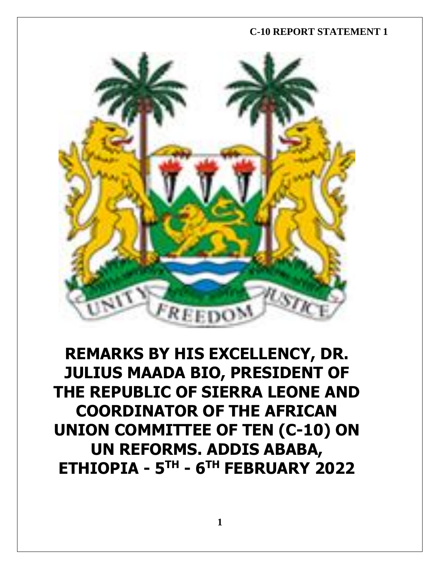

# **REMARKS BY HIS EXCELLENCY, DR. JULIUS MAADA BIO, PRESIDENT OF THE REPUBLIC OF SIERRA LEONE AND COORDINATOR OF THE AFRICAN UNION COMMITTEE OF TEN (C-10) ON UN REFORMS. ADDIS ABABA, ETHIOPIA - 5 TH - 6 TH FEBRUARY 2022**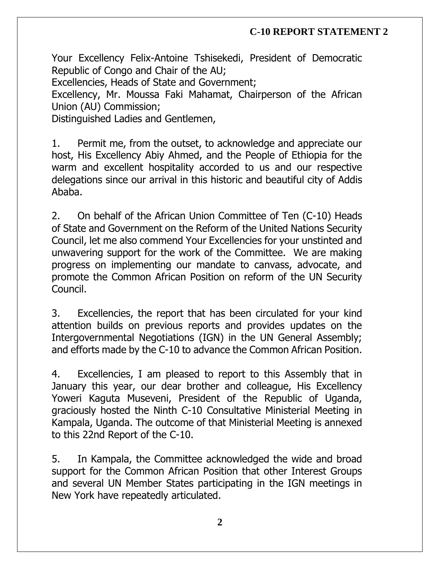Your Excellency Felix-Antoine Tshisekedi, President of Democratic Republic of Congo and Chair of the AU;

Excellencies, Heads of State and Government;

Excellency, Mr. Moussa Faki Mahamat, Chairperson of the African Union (AU) Commission;

Distinguished Ladies and Gentlemen,

1. Permit me, from the outset, to acknowledge and appreciate our host, His Excellency Abiy Ahmed, and the People of Ethiopia for the warm and excellent hospitality accorded to us and our respective delegations since our arrival in this historic and beautiful city of Addis Ababa.

2. On behalf of the African Union Committee of Ten (C-10) Heads of State and Government on the Reform of the United Nations Security Council, let me also commend Your Excellencies for your unstinted and unwavering support for the work of the Committee. We are making progress on implementing our mandate to canvass, advocate, and promote the Common African Position on reform of the UN Security Council.

3. Excellencies, the report that has been circulated for your kind attention builds on previous reports and provides updates on the Intergovernmental Negotiations (IGN) in the UN General Assembly; and efforts made by the C-10 to advance the Common African Position.

4. Excellencies, I am pleased to report to this Assembly that in January this year, our dear brother and colleague, His Excellency Yoweri Kaguta Museveni, President of the Republic of Uganda, graciously hosted the Ninth C-10 Consultative Ministerial Meeting in Kampala, Uganda. The outcome of that Ministerial Meeting is annexed to this 22nd Report of the C-10.

5. In Kampala, the Committee acknowledged the wide and broad support for the Common African Position that other Interest Groups and several UN Member States participating in the IGN meetings in New York have repeatedly articulated.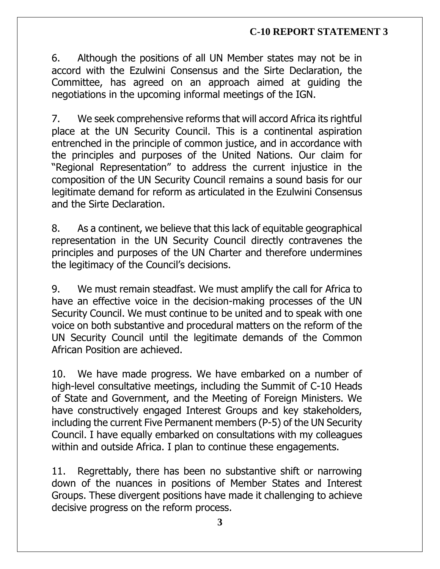6. Although the positions of all UN Member states may not be in accord with the Ezulwini Consensus and the Sirte Declaration, the Committee, has agreed on an approach aimed at guiding the negotiations in the upcoming informal meetings of the IGN.

7. We seek comprehensive reforms that will accord Africa its rightful place at the UN Security Council. This is a continental aspiration entrenched in the principle of common justice, and in accordance with the principles and purposes of the United Nations. Our claim for "Regional Representation" to address the current injustice in the composition of the UN Security Council remains a sound basis for our legitimate demand for reform as articulated in the Ezulwini Consensus and the Sirte Declaration.

8. As a continent, we believe that this lack of equitable geographical representation in the UN Security Council directly contravenes the principles and purposes of the UN Charter and therefore undermines the legitimacy of the Council's decisions.

9. We must remain steadfast. We must amplify the call for Africa to have an effective voice in the decision-making processes of the UN Security Council. We must continue to be united and to speak with one voice on both substantive and procedural matters on the reform of the UN Security Council until the legitimate demands of the Common African Position are achieved.

10. We have made progress. We have embarked on a number of high-level consultative meetings, including the Summit of C-10 Heads of State and Government, and the Meeting of Foreign Ministers. We have constructively engaged Interest Groups and key stakeholders, including the current Five Permanent members (P-5) of the UN Security Council. I have equally embarked on consultations with my colleagues within and outside Africa. I plan to continue these engagements.

11. Regrettably, there has been no substantive shift or narrowing down of the nuances in positions of Member States and Interest Groups. These divergent positions have made it challenging to achieve decisive progress on the reform process.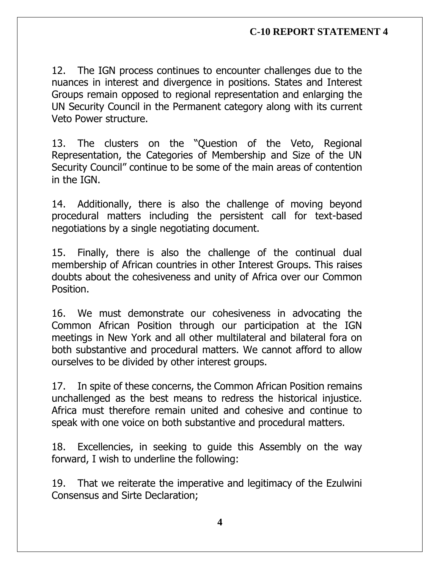12. The IGN process continues to encounter challenges due to the nuances in interest and divergence in positions. States and Interest Groups remain opposed to regional representation and enlarging the UN Security Council in the Permanent category along with its current Veto Power structure.

13. The clusters on the "Question of the Veto, Regional Representation, the Categories of Membership and Size of the UN Security Council" continue to be some of the main areas of contention in the IGN.

14. Additionally, there is also the challenge of moving beyond procedural matters including the persistent call for text-based negotiations by a single negotiating document.

15. Finally, there is also the challenge of the continual dual membership of African countries in other Interest Groups. This raises doubts about the cohesiveness and unity of Africa over our Common Position.

16. We must demonstrate our cohesiveness in advocating the Common African Position through our participation at the IGN meetings in New York and all other multilateral and bilateral fora on both substantive and procedural matters. We cannot afford to allow ourselves to be divided by other interest groups.

17. In spite of these concerns, the Common African Position remains unchallenged as the best means to redress the historical injustice. Africa must therefore remain united and cohesive and continue to speak with one voice on both substantive and procedural matters.

18. Excellencies, in seeking to guide this Assembly on the way forward, I wish to underline the following:

19. That we reiterate the imperative and legitimacy of the Ezulwini Consensus and Sirte Declaration;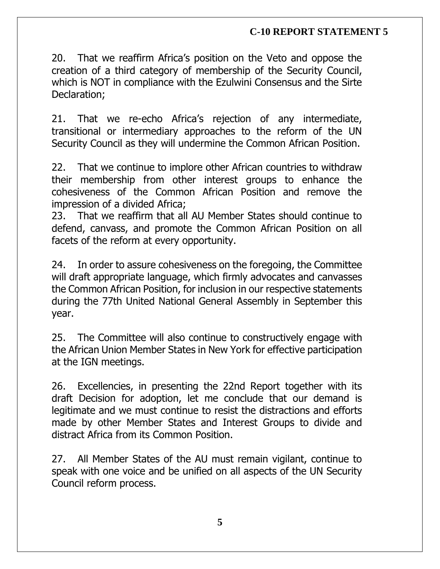20. That we reaffirm Africa's position on the Veto and oppose the creation of a third category of membership of the Security Council, which is NOT in compliance with the Ezulwini Consensus and the Sirte Declaration;

21. That we re-echo Africa's rejection of any intermediate, transitional or intermediary approaches to the reform of the UN Security Council as they will undermine the Common African Position.

22. That we continue to implore other African countries to withdraw their membership from other interest groups to enhance the cohesiveness of the Common African Position and remove the impression of a divided Africa;

23. That we reaffirm that all AU Member States should continue to defend, canvass, and promote the Common African Position on all facets of the reform at every opportunity.

24. In order to assure cohesiveness on the foregoing, the Committee will draft appropriate language, which firmly advocates and canvasses the Common African Position, for inclusion in our respective statements during the 77th United National General Assembly in September this year.

25. The Committee will also continue to constructively engage with the African Union Member States in New York for effective participation at the IGN meetings.

26. Excellencies, in presenting the 22nd Report together with its draft Decision for adoption, let me conclude that our demand is legitimate and we must continue to resist the distractions and efforts made by other Member States and Interest Groups to divide and distract Africa from its Common Position.

27. All Member States of the AU must remain vigilant, continue to speak with one voice and be unified on all aspects of the UN Security Council reform process.